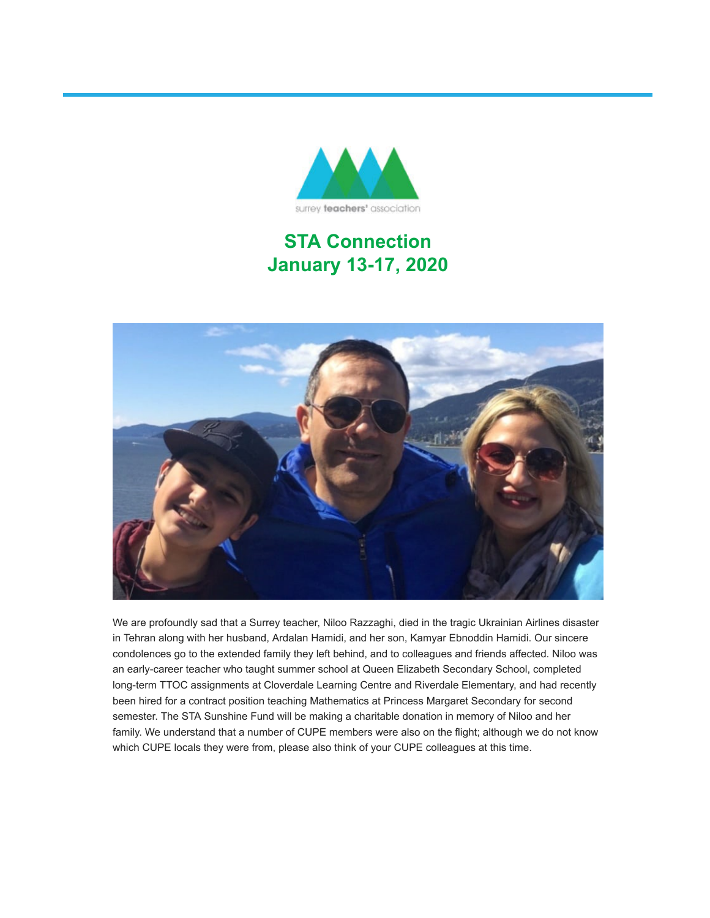

## **STA Connection January 13-17, 2020**



We are profoundly sad that a Surrey teacher, Niloo Razzaghi, died in the tragic Ukrainian Airlines disaster in Tehran along with her husband, Ardalan Hamidi, and her son, Kamyar Ebnoddin Hamidi. Our sincere condolences go to the extended family they left behind, and to colleagues and friends affected. Niloo was an early-career teacher who taught summer school at Queen Elizabeth Secondary School, completed long-term TTOC assignments at Cloverdale Learning Centre and Riverdale Elementary, and had recently been hired for a contract position teaching Mathematics at Princess Margaret Secondary for second semester. The STA Sunshine Fund will be making a charitable donation in memory of Niloo and her family. We understand that a number of CUPE members were also on the flight; although we do not know which CUPE locals they were from, please also think of your CUPE colleagues at this time.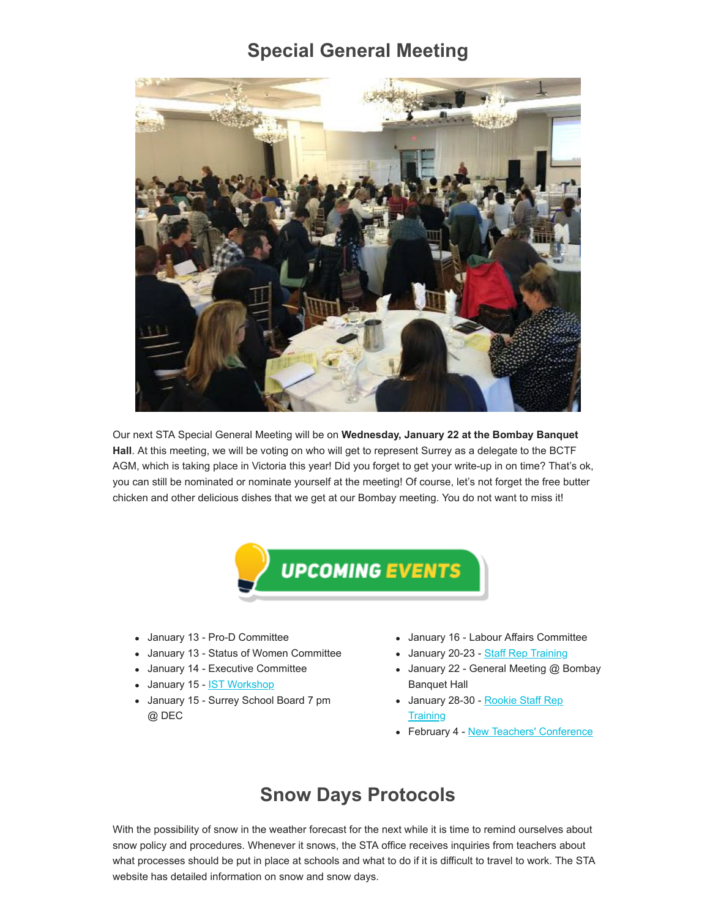#### **Special General Meeting**



Our next STA Special General Meeting will be on **Wednesday, January 22 at the Bombay Banquet Hall**. At this meeting, we will be voting on who will get to represent Surrey as a delegate to the BCTF AGM, which is taking place in Victoria this year! Did you forget to get your write-up in on time? That's ok, you can still be nominated or nominate yourself at the meeting! Of course, let's not forget the free butter chicken and other delicious dishes that we get at our Bombay meeting. You do not want to miss it!



- January 13 Pro-D Committee
- January 13 Status of Women Committee
- January 14 Executive Committee
- January 15 <u>[IST Workshop](https://surreyteachers.us20.list-manage.com/track/click?u=37ec644ae87e34b54b3912660&id=ee07d79705&e=7261da6bdb)</u>
- January 15 Surrey School Board 7 pm @ DEC
- January 16 Labour Affairs Committee
- January 20-23 [Staff Rep Training](https://surreyteachers.us20.list-manage.com/track/click?u=37ec644ae87e34b54b3912660&id=68479cc400&e=7261da6bdb)
- January 22 General Meeting @ Bombay Banquet Hall
- [January 28-30 Rookie Staff Rep](https://surreyteachers.us20.list-manage.com/track/click?u=37ec644ae87e34b54b3912660&id=3f522bab55&e=7261da6bdb) **Training**
- February 4 [New Teachers' Conference](https://surreyteachers.us20.list-manage.com/track/click?u=37ec644ae87e34b54b3912660&id=ca94dee65e&e=7261da6bdb)

#### **Snow Days Protocols**

With the possibility of snow in the weather forecast for the next while it is time to remind ourselves about snow policy and procedures. Whenever it snows, the STA office receives inquiries from teachers about what processes should be put in place at schools and what to do if it is difficult to travel to work. The STA website has detailed information on snow and snow days.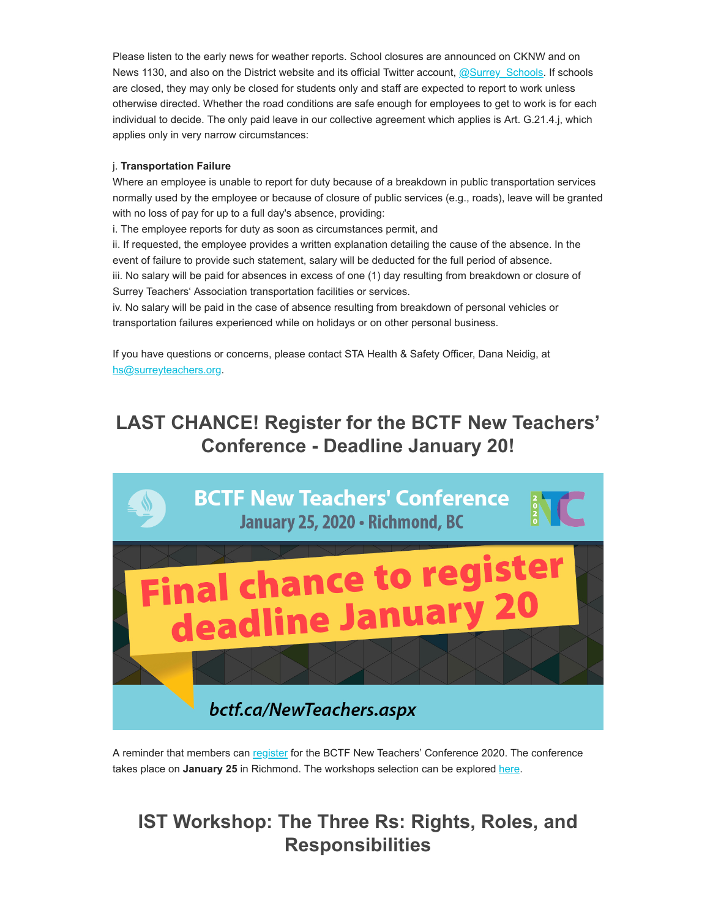Please listen to the early news for weather reports. School closures are announced on CKNW and on News 1130, and also on the District website and its official Twitter account,  $@Surrey$ , Schools. If schools are closed, they may only be closed for students only and staff are expected to report to work unless otherwise directed. Whether the road conditions are safe enough for employees to get to work is for each individual to decide. The only paid leave in our collective agreement which applies is Art. G.21.4.j, which applies only in very narrow circumstances:

#### j. **Transportation Failure**

Where an employee is unable to report for duty because of a breakdown in public transportation services normally used by the employee or because of closure of public services (e.g., roads), leave will be granted with no loss of pay for up to a full day's absence, providing:

i. The employee reports for duty as soon as circumstances permit, and

ii. If requested, the employee provides a written explanation detailing the cause of the absence. In the event of failure to provide such statement, salary will be deducted for the full period of absence.

iii. No salary will be paid for absences in excess of one (1) day resulting from breakdown or closure of Surrey Teachers' Association transportation facilities or services.

iv. No salary will be paid in the case of absence resulting from breakdown of personal vehicles or transportation failures experienced while on holidays or on other personal business.

If you have questions or concerns, please contact STA Health & Safety Officer, Dana Neidig, at [hs@surreyteachers.org.](https://surreyteachers.us20.list-manage.com/track/click?u=37ec644ae87e34b54b3912660&id=ec442041c6&e=7261da6bdb)

## **LAST CHANCE! Register for the BCTF New Teachers' Conference - Deadline January 20!**



A reminder that members can [register](https://surreyteachers.us20.list-manage.com/track/click?u=37ec644ae87e34b54b3912660&id=1277daf319&e=7261da6bdb) for the BCTF New Teachers' Conference 2020. The conference takes place on January 25 in Richmond. The workshops selection can be explored [here](https://surreyteachers.us20.list-manage.com/track/click?u=37ec644ae87e34b54b3912660&id=c754a1c408&e=7261da6bdb).

### **IST Workshop: The Three Rs: Rights, Roles, and Responsibilities**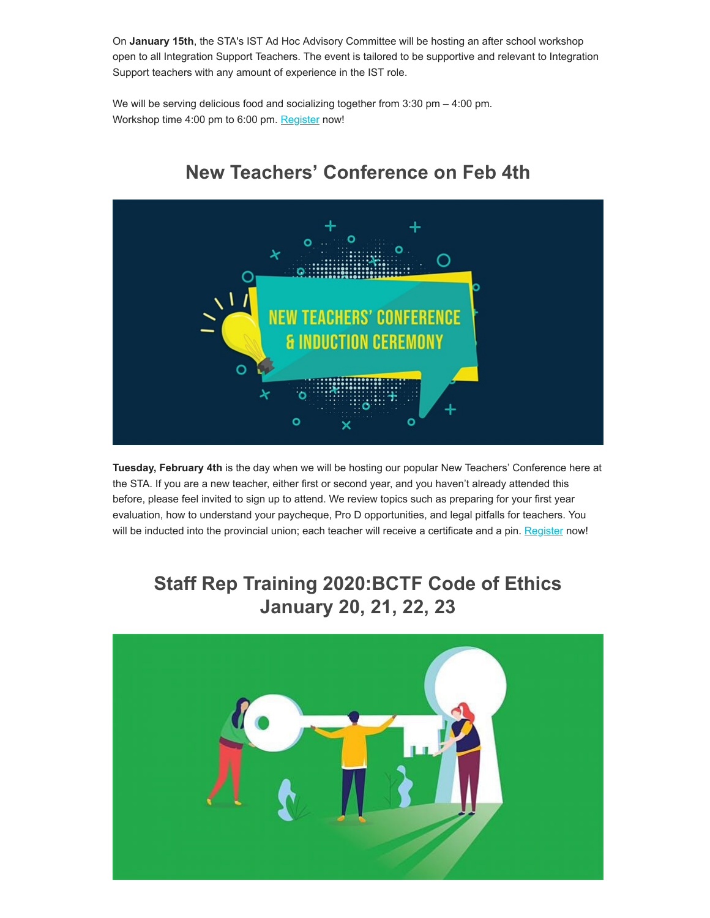On **January 15th**, the STA's IST Ad Hoc Advisory Committee will be hosting an after school workshop open to all Integration Support Teachers. The event is tailored to be supportive and relevant to Integration Support teachers with any amount of experience in the IST role.

We will be serving delicious food and socializing together from  $3:30 \text{ pm} - 4:00 \text{ pm}$ . Workshop time 4:00 pm to 6:00 pm. [Register](https://surreyteachers.us20.list-manage.com/track/click?u=37ec644ae87e34b54b3912660&id=fdb76bbc89&e=7261da6bdb) now!



## **New Teachers' Conference on Feb 4th**

**Tuesday, February 4th** is the day when we will be hosting our popular New Teachers' Conference here at the STA. If you are a new teacher, either first or second year, and you haven't already attended this before, please feel invited to sign up to attend. We review topics such as preparing for your first year evaluation, how to understand your paycheque, Pro D opportunities, and legal pitfalls for teachers. You will be inducted into the provincial union; each teacher will receive a certificate and a pin. [Register](https://surreyteachers.us20.list-manage.com/track/click?u=37ec644ae87e34b54b3912660&id=5fa4f48287&e=7261da6bdb) now!

## **Staff Rep Training 2020:BCTF Code of Ethics January 20, 21, 22, 23**

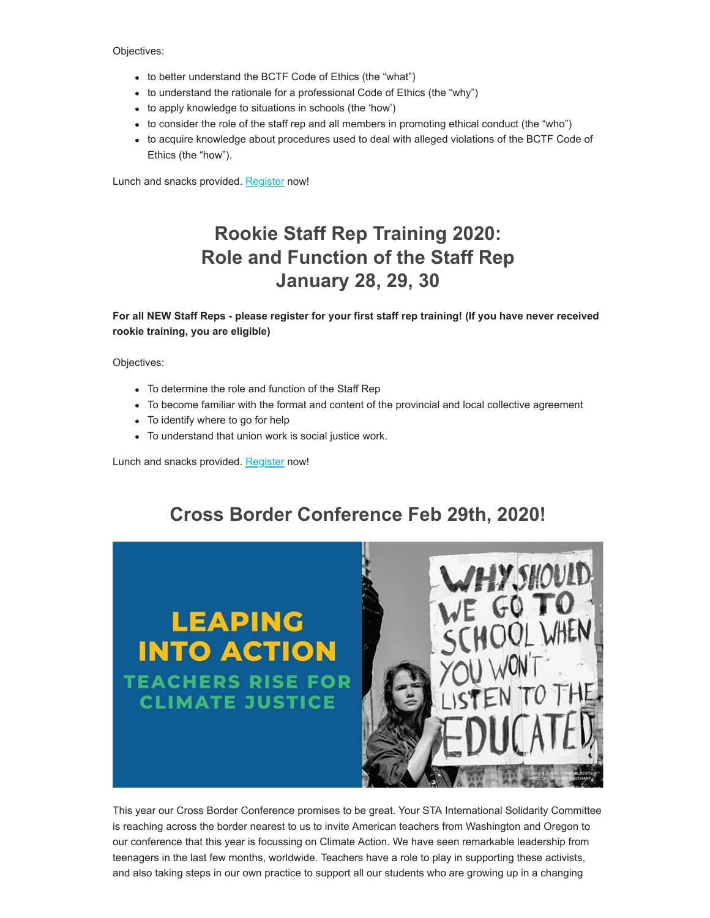Objectives:

- to better understand the BCTF Code of Ethics (the "what")
- to understand the rationale for a professional Code of Ethics (the "why")
- to apply knowledge to situations in schools (the 'how')
- to consider the role of the staff rep and all members in promoting ethical conduct (the "who")
- to acquire knowledge about procedures used to deal with alleged violations of the BCTF Code of Ethics (the "how").

Lunch and snacks provided. [Register](https://surreyteachers.us20.list-manage.com/track/click?u=37ec644ae87e34b54b3912660&id=4864e80cc0&e=7261da6bdb) now!

## **Rookie Staff Rep Training 2020: Role and Function of the Staff Rep January 28, 29, 30**

**For all NEW Staff Reps - please register for your first staff rep training! (If you have never received rookie training, you are eligible)**

Objectives:

- To determine the role and function of the Staff Rep
- To become familiar with the format and content of the provincial and local collective agreement
- To identify where to go for help
- To understand that union work is social justice work.

Lunch and snacks provided. [Register](https://surreyteachers.us20.list-manage.com/track/click?u=37ec644ae87e34b54b3912660&id=32b8c3c830&e=7261da6bdb) now!

## **Cross Border Conference Feb 29th, 2020!**



This year our Cross Border Conference promises to be great. Your STA International Solidarity Committee is reaching across the border nearest to us to invite American teachers from Washington and Oregon to our conference that this year is focussing on Climate Action. We have seen remarkable leadership from teenagers in the last few months, worldwide. Teachers have a role to play in supporting these activists, and also taking steps in our own practice to support all our students who are growing up in a changing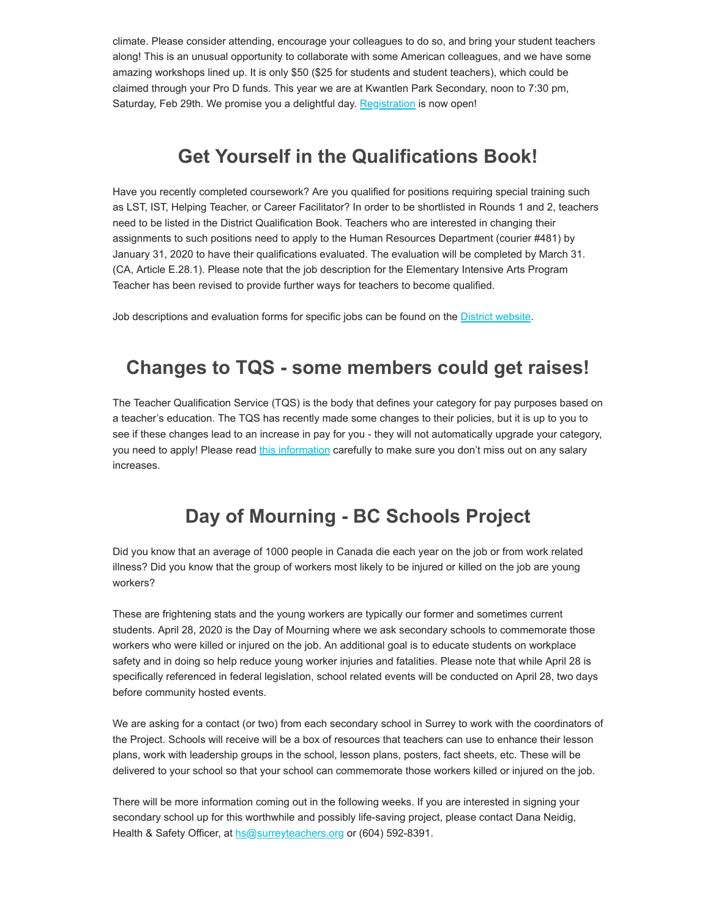climate. Please consider attending, encourage your colleagues to do so, and bring your student teachers along! This is an unusual opportunity to collaborate with some American colleagues, and we have some amazing workshops lined up. It is only \$50 (\$25 for students and student teachers), which could be claimed through your Pro D funds. This year we are at Kwantlen Park Secondary, noon to 7:30 pm, Saturday, Feb 29th. We promise you a delightful day. [Registration](https://surreyteachers.us20.list-manage.com/track/click?u=37ec644ae87e34b54b3912660&id=8ef5fdde8a&e=7261da6bdb) is now open!

#### **Get Yourself in the Qualifications Book!**

Have you recently completed coursework? Are you qualified for positions requiring special training such as LST, IST, Helping Teacher, or Career Facilitator? In order to be shortlisted in Rounds 1 and 2, teachers need to be listed in the District Qualification Book. Teachers who are interested in changing their assignments to such positions need to apply to the Human Resources Department (courier #481) by January 31, 2020 to have their qualifications evaluated. The evaluation will be completed by March 31. (CA, Article E.28.1). Please note that the job description for the Elementary Intensive Arts Program Teacher has been revised to provide further ways for teachers to become qualified.

Job descriptions and evaluation forms for specific jobs can be found on the **District website**.

#### **Changes to TQS - some members could get raises!**

The Teacher Qualification Service (TQS) is the body that defines your category for pay purposes based on a teacher's education. The TQS has recently made some changes to their policies, but it is up to you to see if these changes lead to an increase in pay for you - they will not automatically upgrade your category, you need to apply! Please read [this information](https://surreyteachers.us20.list-manage.com/track/click?u=37ec644ae87e34b54b3912660&id=8cfc35789b&e=7261da6bdb) carefully to make sure you don't miss out on any salary increases.

#### **Day of Mourning - BC Schools Project**

Did you know that an average of 1000 people in Canada die each year on the job or from work related illness? Did you know that the group of workers most likely to be injured or killed on the job are young workers?

These are frightening stats and the young workers are typically our former and sometimes current students. April 28, 2020 is the Day of Mourning where we ask secondary schools to commemorate those workers who were killed or injured on the job. An additional goal is to educate students on workplace safety and in doing so help reduce young worker injuries and fatalities. Please note that while April 28 is specifically referenced in federal legislation, school related events will be conducted on April 28, two days before community hosted events.

We are asking for a contact (or two) from each secondary school in Surrey to work with the coordinators of the Project. Schools will receive will be a box of resources that teachers can use to enhance their lesson plans, work with leadership groups in the school, lesson plans, posters, fact sheets, etc. These will be delivered to your school so that your school can commemorate those workers killed or injured on the job.

There will be more information coming out in the following weeks. If you are interested in signing your secondary school up for this worthwhile and possibly life-saving project, please contact Dana Neidig, Health & Safety Officer, at [hs@surreyteachers.org](https://surreyteachers.us20.list-manage.com/track/click?u=37ec644ae87e34b54b3912660&id=9e93b9949c&e=7261da6bdb) or (604) 592-8391.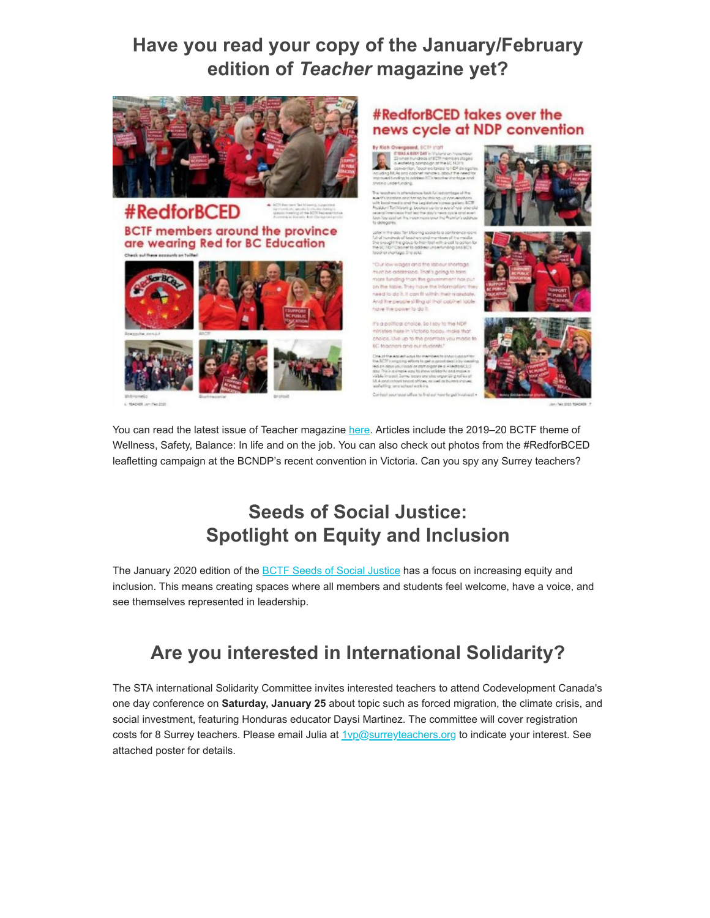#### **Have you read your copy of the January/February edition of** *Teacher* **magazine yet?**





#### **#RedforBCED takes over the** news cycle at NDP convention

Trust's going to b ia than the go re people si ling at that cabinet to

.<br>Intest choice, So I say to the NDP<br>It here in Victorio today, make that this up to the promises you mode







You can read the latest issue of Teacher magazine [here](https://surreyteachers.us20.list-manage.com/track/click?u=37ec644ae87e34b54b3912660&id=6a04253f4f&e=7261da6bdb). Articles include the 2019–20 BCTF theme of Wellness, Safety, Balance: In life and on the job. You can also check out photos from the #RedforBCED leafletting campaign at the BCNDP's recent convention in Victoria. Can you spy any Surrey teachers?

## **Seeds of Social Justice: Spotlight on Equity and Inclusion**

The January 2020 edition of the **BCTF Seeds of Social Justice** has a focus on increasing equity and inclusion. This means creating spaces where all members and students feel welcome, have a voice, and see themselves represented in leadership.

# **Are you interested in International Solidarity?**

The STA international Solidarity Committee invites interested teachers to attend Codevelopment Canada's one day conference on **Saturday, January 25** about topic such as forced migration, the climate crisis, and social investment, featuring Honduras educator Daysi Martinez. The committee will cover registration costs for 8 Surrey teachers. Please email Julia at **1**vp@surreyteachers.org to indicate your interest. See attached poster for details.